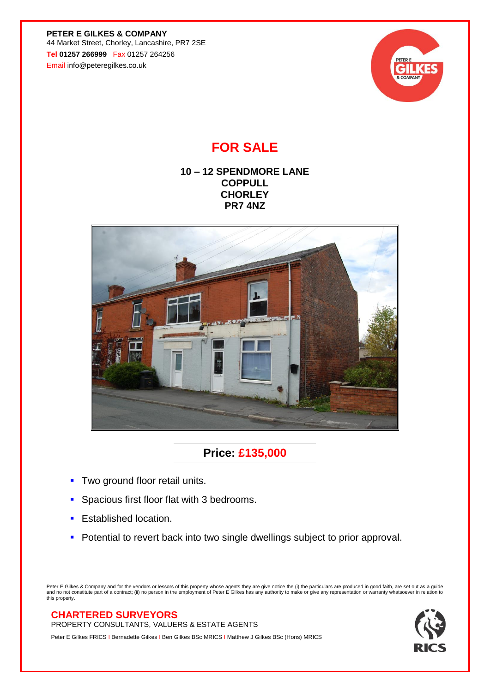**PETER E GILKES & COMPANY** 44 Market Street, Chorley, Lancashire, PR7 2SE **Tel 01257 266999** Fax 01257 264256 Email info@peteregilkes.co.uk



## **FOR SALE**

## **10 – 12 SPENDMORE LANE COPPULL CHORLEY PR7 4NZ**



## **Price: £135,000**

- **Two ground floor retail units.**
- **Spacious first floor flat with 3 bedrooms.**
- **Established location.**
- Potential to revert back into two single dwellings subject to prior approval.

Peter E Gilkes & Company and for the vendors or lessors of this property whose agents they are give notice the (i) the particulars are produced in good faith, are set out as a guide<br>and no not constitute part of a contract

## **CHARTERED SURVEYORS**

PROPERTY CONSULTANTS, VALUERS & ESTATE AGENTS

Peter E Gilkes FRICS I Bernadette Gilkes I Ben Gilkes BSc MRICS I Matthew J Gilkes BSc (Hons) MRICS

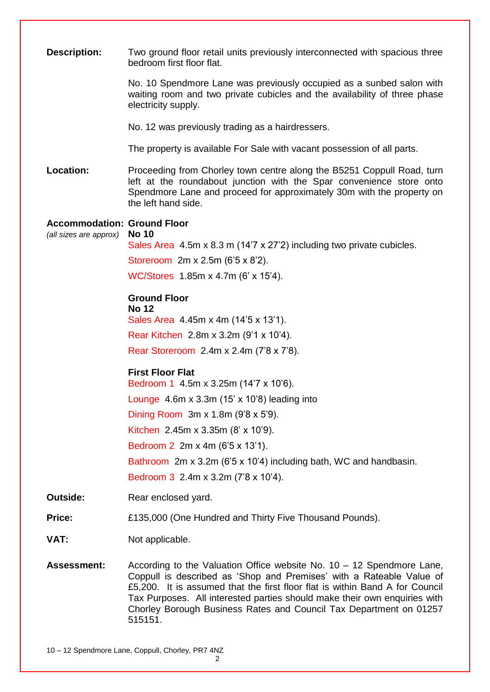| <b>Description:</b>                | Two ground floor retail units previously interconnected with spacious three<br>bedroom first floor flat.                                                                                                                                                                                                                                                                                      |
|------------------------------------|-----------------------------------------------------------------------------------------------------------------------------------------------------------------------------------------------------------------------------------------------------------------------------------------------------------------------------------------------------------------------------------------------|
|                                    | No. 10 Spendmore Lane was previously occupied as a sunbed salon with<br>waiting room and two private cubicles and the availability of three phase<br>electricity supply.                                                                                                                                                                                                                      |
|                                    | No. 12 was previously trading as a hairdressers.                                                                                                                                                                                                                                                                                                                                              |
|                                    | The property is available For Sale with vacant possession of all parts.                                                                                                                                                                                                                                                                                                                       |
| Location:                          | Proceeding from Chorley town centre along the B5251 Coppull Road, turn<br>left at the roundabout junction with the Spar convenience store onto<br>Spendmore Lane and proceed for approximately 30m with the property on<br>the left hand side.                                                                                                                                                |
| <b>Accommodation: Ground Floor</b> |                                                                                                                                                                                                                                                                                                                                                                                               |
| (all sizes are approx)             | <b>No 10</b><br>Sales Area 4.5m x 8.3 m (14'7 x 27'2) including two private cubicles.                                                                                                                                                                                                                                                                                                         |
|                                    | Storeroom 2m x 2.5m (6'5 x 8'2).                                                                                                                                                                                                                                                                                                                                                              |
|                                    | WC/Stores 1.85m x 4.7m (6' x 15'4).                                                                                                                                                                                                                                                                                                                                                           |
|                                    | <b>Ground Floor</b>                                                                                                                                                                                                                                                                                                                                                                           |
|                                    | <b>No 12</b>                                                                                                                                                                                                                                                                                                                                                                                  |
|                                    | Sales Area 4.45m x 4m (14'5 x 13'1).                                                                                                                                                                                                                                                                                                                                                          |
|                                    | Rear Kitchen 2.8m x 3.2m (9'1 x 10'4).                                                                                                                                                                                                                                                                                                                                                        |
|                                    | Rear Storeroom 2.4m x 2.4m (7'8 x 7'8).                                                                                                                                                                                                                                                                                                                                                       |
|                                    | <b>First Floor Flat</b>                                                                                                                                                                                                                                                                                                                                                                       |
|                                    | Bedroom 1 4.5m x 3.25m (14'7 x 10'6).<br>Lounge $4.6m \times 3.3m$ (15' x 10'8) leading into                                                                                                                                                                                                                                                                                                  |
|                                    | Dining Room $3m \times 1.8m$ (9'8 $\times$ 5'9).                                                                                                                                                                                                                                                                                                                                              |
|                                    | Kitchen 2.45m x 3.35m $(8' \times 10'9)$ .                                                                                                                                                                                                                                                                                                                                                    |
|                                    | Bedroom 2 2m x 4m (6'5 x 13'1).                                                                                                                                                                                                                                                                                                                                                               |
|                                    | Bathroom 2m x 3.2m (6'5 x 10'4) including bath, WC and handbasin.                                                                                                                                                                                                                                                                                                                             |
|                                    | Bedroom 3 2.4m x 3.2m (7'8 x 10'4).                                                                                                                                                                                                                                                                                                                                                           |
| <b>Outside:</b>                    | Rear enclosed yard.                                                                                                                                                                                                                                                                                                                                                                           |
| <b>Price:</b>                      | £135,000 (One Hundred and Thirty Five Thousand Pounds).                                                                                                                                                                                                                                                                                                                                       |
| VAT:                               | Not applicable.                                                                                                                                                                                                                                                                                                                                                                               |
| <b>Assessment:</b>                 | According to the Valuation Office website No. $10 - 12$ Spendmore Lane,<br>Coppull is described as 'Shop and Premises' with a Rateable Value of<br>£5,200. It is assumed that the first floor flat is within Band A for Council<br>Tax Purposes. All interested parties should make their own enquiries with<br>Chorley Borough Business Rates and Council Tax Department on 01257<br>515151. |